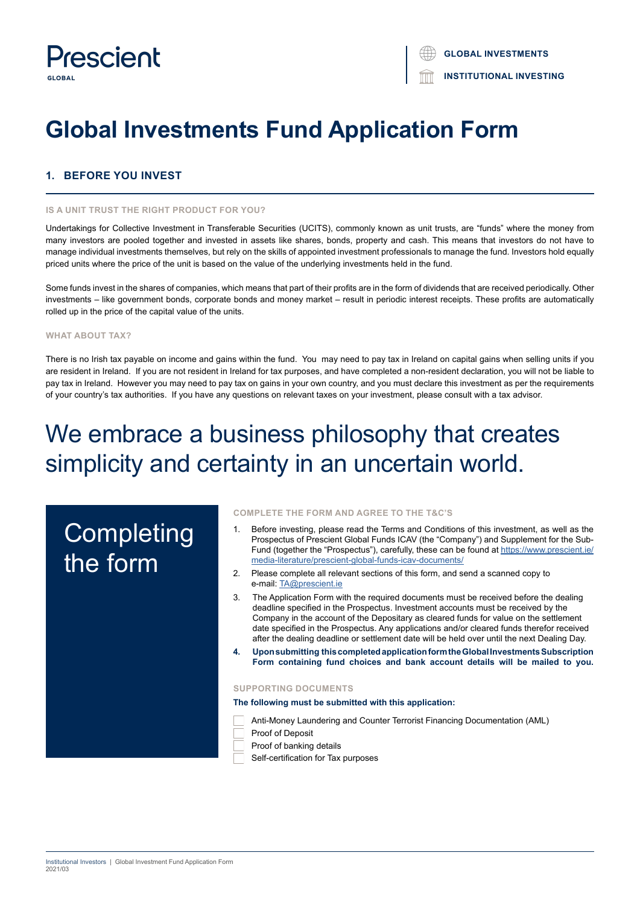

# **Global Investments Fund Application Form**

## **1. BEFORE YOU INVEST**

## **IS A UNIT TRUST THE RIGHT PRODUCT FOR YOU?**

Undertakings for Collective Investment in Transferable Securities (UCITS), commonly known as unit trusts, are "funds" where the money from many investors are pooled together and invested in assets like shares, bonds, property and cash. This means that investors do not have to manage individual investments themselves, but rely on the skills of appointed investment professionals to manage the fund. Investors hold equally priced units where the price of the unit is based on the value of the underlying investments held in the fund.

Some funds invest in the shares of companies, which means that part of their profits are in the form of dividends that are received periodically. Other investments – like government bonds, corporate bonds and money market – result in periodic interest receipts. These profits are automatically rolled up in the price of the capital value of the units.

## **WHAT ABOUT TAX?**

There is no Irish tax payable on income and gains within the fund. You may need to pay tax in Ireland on capital gains when selling units if you are resident in Ireland. If you are not resident in Ireland for tax purposes, and have completed a non-resident declaration, you will not be liable to pay tax in Ireland. However you may need to pay tax on gains in your own country, and you must declare this investment as per the requirements of your country's tax authorities. If you have any questions on relevant taxes on your investment, please consult with a tax advisor.

# We embrace a business philosophy that creates simplicity and certainty in an uncertain world.

# **Completing** the form

#### **COMPLETE THE FORM AND AGREE TO THE T&C'S**

- 1. Before investing, please read the Terms and Conditions of this investment, as well as the Prospectus of Prescient Global Funds ICAV (the "Company") and Supplement for the Sub-Fund (together the "Prospectus"), carefully, these can be found at https://www.prescient.ie/ media-literature/prescient-global-funds-icav-documents/
- 2. Please complete all relevant sections of this form, and send a scanned copy to e-mail: TA@prescient.ie
- 3. The Application Form with the required documents must be received before the dealing deadline specified in the Prospectus. Investment accounts must be received by the Company in the account of the Depositary as cleared funds for value on the settlement date specified in the Prospectus. Any applications and/or cleared funds therefor received after the dealing deadline or settlement date will be held over until the next Dealing Day.
- **4. Upon submitting this completed application form the Global Investments Subscription Form containing fund choices and bank account details will be mailed to you.**

## **SUPPORTING DOCUMENTS**

**The following must be submitted with this application:**

Anti-Money Laundering and Counter Terrorist Financing Documentation (AML)

- Proof of Deposit
- Proof of banking details

Self-certification for Tax purposes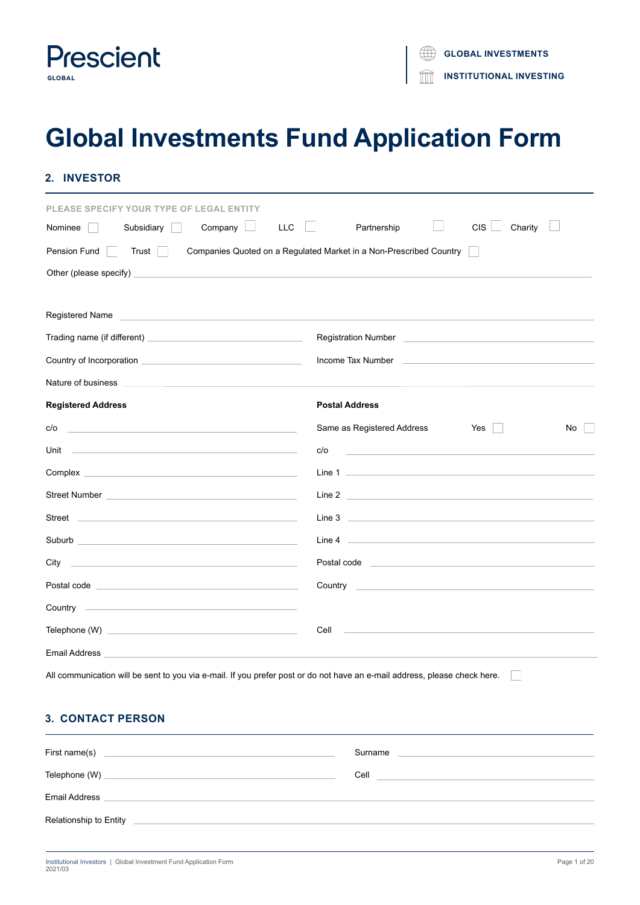

# **Global Investments Fund Application Form**

| <b>INVESTOR</b><br>2.                                                                                                                   |                                                                                                                                                                                                                                     |
|-----------------------------------------------------------------------------------------------------------------------------------------|-------------------------------------------------------------------------------------------------------------------------------------------------------------------------------------------------------------------------------------|
| <b>PLEASE SPECIFY YOUR TYPE OF LEGAL ENTITY</b><br>Company<br>Subsidiary<br>Nominee                                                     | <b>CIS</b><br>LLC<br>Partnership<br>Charity                                                                                                                                                                                         |
| Pension Fund<br>Trust                                                                                                                   | Companies Quoted on a Regulated Market in a Non-Prescribed Country                                                                                                                                                                  |
|                                                                                                                                         |                                                                                                                                                                                                                                     |
| Registered Name<br><u> 1989 - Jan Barbara de Carlos de Carlos de Carlos de Carlos de Carlos de Carlos de Carlos de Carlos de Carlos</u> |                                                                                                                                                                                                                                     |
|                                                                                                                                         |                                                                                                                                                                                                                                     |
|                                                                                                                                         | Income Tax Number 2008 and 2009 and 2009 and 2009 and 2009 and 2009 and 2009 and 2009 and 2009 and 2009 and 20                                                                                                                      |
|                                                                                                                                         |                                                                                                                                                                                                                                     |
| <b>Registered Address</b>                                                                                                               | <b>Postal Address</b>                                                                                                                                                                                                               |
| c/o<br><u> 1989 - Johann Stein, mars and de Britain and de Britain and de Britain and de Britain and de Britain and de B</u>            | Same as Registered Address<br>Yes<br><b>TEMP</b><br>No                                                                                                                                                                              |
|                                                                                                                                         | c/o                                                                                                                                                                                                                                 |
|                                                                                                                                         |                                                                                                                                                                                                                                     |
|                                                                                                                                         | Line 2 <u>and 2</u> and 2 and 2 and 2 and 2 and 2 and 2 and 2 and 2 and 2 and 2 and 2 and 2 and 2 and 2 and 2 and 2 and 2 and 2 and 2 and 2 and 2 and 2 and 2 and 2 and 2 and 2 and 2 and 2 and 2 and 2 and 2 and 2 and 2 and 2 and |
|                                                                                                                                         |                                                                                                                                                                                                                                     |
|                                                                                                                                         |                                                                                                                                                                                                                                     |
|                                                                                                                                         |                                                                                                                                                                                                                                     |
|                                                                                                                                         |                                                                                                                                                                                                                                     |
|                                                                                                                                         |                                                                                                                                                                                                                                     |
|                                                                                                                                         | Cell                                                                                                                                                                                                                                |
| Email Address                                                                                                                           |                                                                                                                                                                                                                                     |
| All communication will be sent to you via e-mail. If you prefer post or do not have an e-mail address, please check here.               |                                                                                                                                                                                                                                     |
| <b>3. CONTACT PERSON</b>                                                                                                                |                                                                                                                                                                                                                                     |
| First name(s)                                                                                                                           | Surname                                                                                                                                                                                                                             |

Email Address

Relationship to Entity

Telephone (W) Cell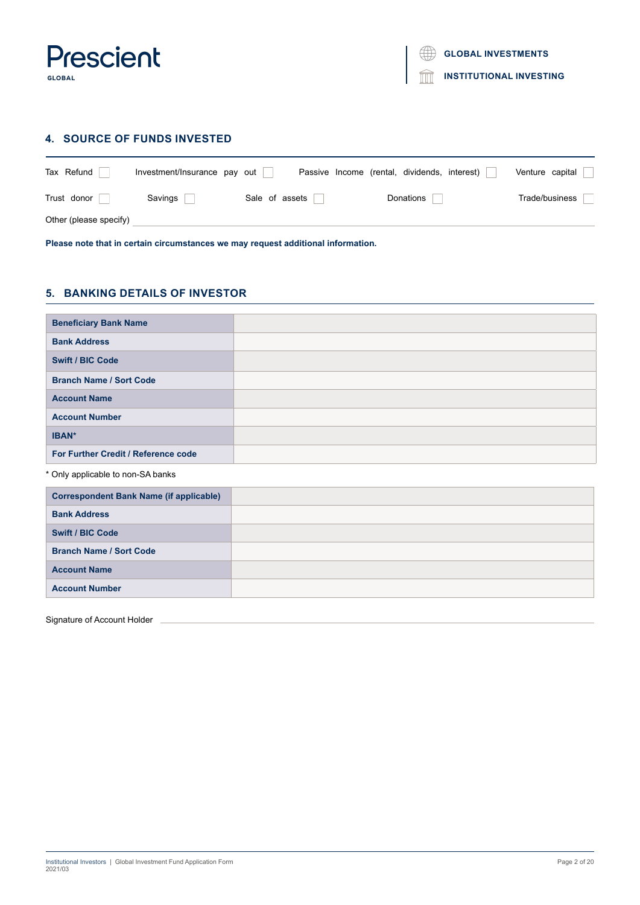

## **4. SOURCE OF FUNDS INVESTED**

| Tax Refund             | Investment/Insurance pay out |                | Passive Income (rental, dividends, interest) | Venture capital |
|------------------------|------------------------------|----------------|----------------------------------------------|-----------------|
| Trust donor            | Savings                      | Sale of assets | Donations                                    | Trade/business  |
| Other (please specify) |                              |                |                                              |                 |

**Please note that in certain circumstances we may request additional information.**

## **5. BANKING DETAILS OF INVESTOR**

| <b>Beneficiary Bank Name</b>        |  |
|-------------------------------------|--|
| <b>Bank Address</b>                 |  |
| <b>Swift / BIC Code</b>             |  |
| <b>Branch Name / Sort Code</b>      |  |
| <b>Account Name</b>                 |  |
| <b>Account Number</b>               |  |
| IBAN*                               |  |
| For Further Credit / Reference code |  |

\* Only applicable to non-SA banks

| <b>Correspondent Bank Name (if applicable)</b> |  |
|------------------------------------------------|--|
| <b>Bank Address</b>                            |  |
| <b>Swift / BIC Code</b>                        |  |
| <b>Branch Name / Sort Code</b>                 |  |
| <b>Account Name</b>                            |  |
| <b>Account Number</b>                          |  |

Signature of Account Holder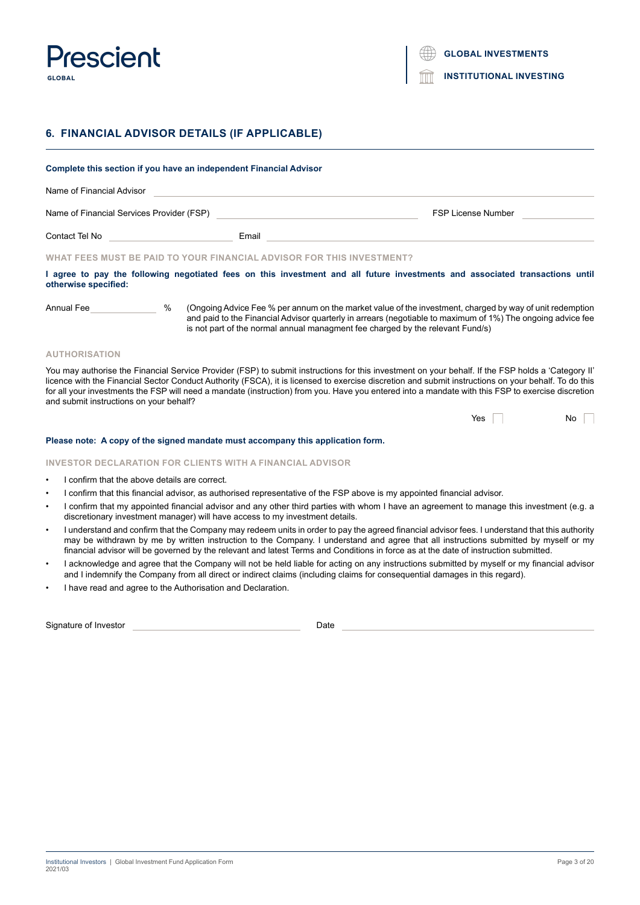

## **6. FINANCIAL ADVISOR DETAILS (IF APPLICABLE)**

| Complete this section if you have an independent Financial Advisor |      |                                                                       |                                                                                                                                                                                                                                                                                                           |  |  |
|--------------------------------------------------------------------|------|-----------------------------------------------------------------------|-----------------------------------------------------------------------------------------------------------------------------------------------------------------------------------------------------------------------------------------------------------------------------------------------------------|--|--|
| Name of Financial Advisor                                          |      |                                                                       |                                                                                                                                                                                                                                                                                                           |  |  |
| Name of Financial Services Provider (FSP)                          |      |                                                                       | <b>FSP License Number</b>                                                                                                                                                                                                                                                                                 |  |  |
| Contact Tel No _______________________                             |      | Email                                                                 |                                                                                                                                                                                                                                                                                                           |  |  |
|                                                                    |      | WHAT FEES MUST BE PAID TO YOUR FINANCIAL ADVISOR FOR THIS INVESTMENT? |                                                                                                                                                                                                                                                                                                           |  |  |
| otherwise specified:                                               |      |                                                                       | I agree to pay the following negotiated fees on this investment and all future investments and associated transactions until                                                                                                                                                                              |  |  |
| Annual Fee                                                         | $\%$ |                                                                       | (Ongoing Advice Fee % per annum on the market value of the investment, charged by way of unit redemption<br>and paid to the Financial Advisor quarterly in arrears (negotiable to maximum of 1%) The ongoing advice fee<br>is not part of the normal annual managment fee charged by the relevant Fund/s) |  |  |

## **AUTHORISATION**

You may authorise the Financial Service Provider (FSP) to submit instructions for this investment on your behalf. If the FSP holds a 'Category II' licence with the Financial Sector Conduct Authority (FSCA), it is licensed to exercise discretion and submit instructions on your behalf. To do this for all your investments the FSP will need a mandate (instruction) from you. Have you entered into a mandate with this FSP to exercise discretion and submit instructions on your behalf?

| Yes | No |  |
|-----|----|--|
|-----|----|--|

## **Please note: A copy of the signed mandate must accompany this application form.**

**INVESTOR DECLARATION FOR CLIENTS WITH A FINANCIAL ADVISOR**

- I confirm that the above details are correct.
- I confirm that this financial advisor, as authorised representative of the FSP above is my appointed financial advisor.
- I confirm that my appointed financial advisor and any other third parties with whom I have an agreement to manage this investment (e.g. a discretionary investment manager) will have access to my investment details.
- I understand and confirm that the Company may redeem units in order to pay the agreed financial advisor fees. I understand that this authority may be withdrawn by me by written instruction to the Company. I understand and agree that all instructions submitted by myself or my financial advisor will be governed by the relevant and latest Terms and Conditions in force as at the date of instruction submitted.
- I acknowledge and agree that the Company will not be held liable for acting on any instructions submitted by myself or my financial advisor and I indemnify the Company from all direct or indirect claims (including claims for consequential damages in this regard).
- I have read and agree to the Authorisation and Declaration.

| Signature of Investor |  |  |
|-----------------------|--|--|
|-----------------------|--|--|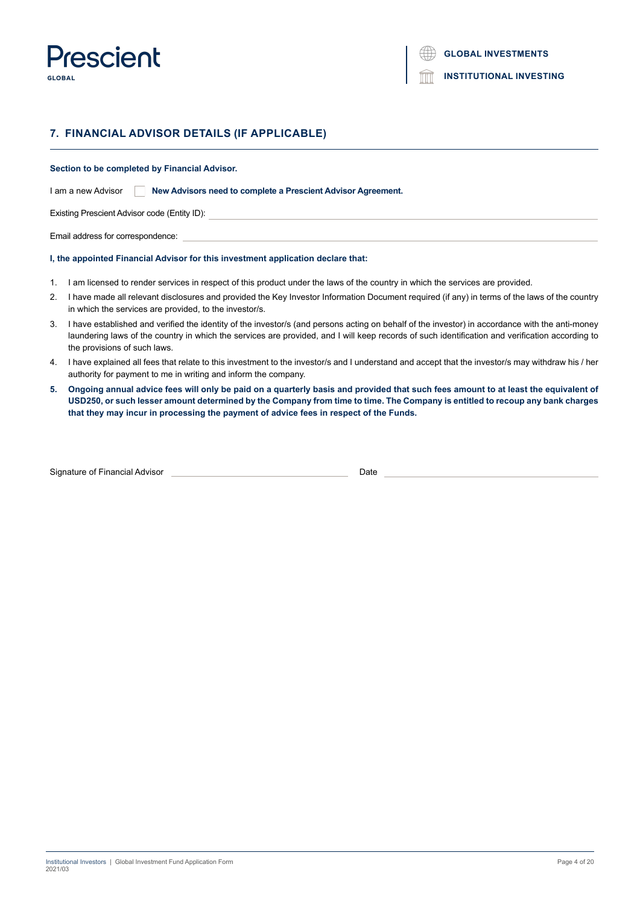

## **7. FINANCIAL ADVISOR DETAILS (IF APPLICABLE)**

**Section to be completed by Financial Advisor.**

I am a new Advisor **New Advisors need to complete a Prescient Advisor Agreement.** 

Existing Prescient Advisor code (Entity ID):

Email address for correspondence:

#### **I, the appointed Financial Advisor for this investment application declare that:**

- 1. I am licensed to render services in respect of this product under the laws of the country in which the services are provided.
- 2. I have made all relevant disclosures and provided the Key Investor Information Document required (if any) in terms of the laws of the country in which the services are provided, to the investor/s.
- 3. I have established and verified the identity of the investor/s (and persons acting on behalf of the investor) in accordance with the anti-money laundering laws of the country in which the services are provided, and I will keep records of such identification and verification according to the provisions of such laws.
- 4. I have explained all fees that relate to this investment to the investor/s and I understand and accept that the investor/s may withdraw his / her authority for payment to me in writing and inform the company.
- **5. Ongoing annual advice fees will only be paid on a quarterly basis and provided that such fees amount to at least the equivalent of USD250, or such lesser amount determined by the Company from time to time. The Company is entitled to recoup any bank charges that they may incur in processing the payment of advice fees in respect of the Funds.**

| Signature of Financial Advisor |  |
|--------------------------------|--|
|                                |  |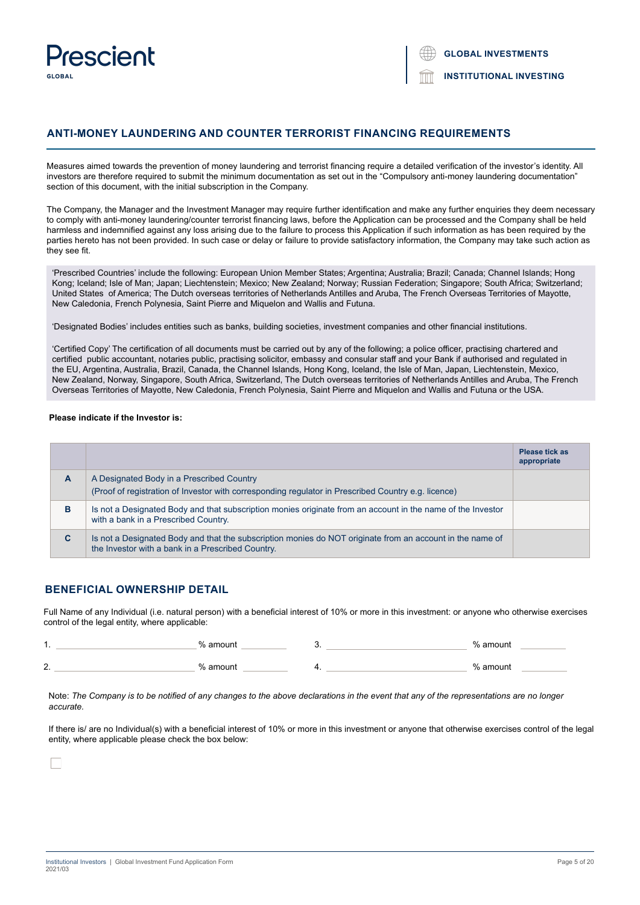

## **ANTI-MONEY LAUNDERING AND COUNTER TERRORIST FINANCING REQUIREMENTS**

Measures aimed towards the prevention of money laundering and terrorist financing require a detailed verification of the investor's identity. All investors are therefore required to submit the minimum documentation as set out in the "Compulsory anti-money laundering documentation" section of this document, with the initial subscription in the Company.

The Company, the Manager and the Investment Manager may require further identification and make any further enquiries they deem necessary to comply with anti-money laundering/counter terrorist financing laws, before the Application can be processed and the Company shall be held harmless and indemnified against any loss arising due to the failure to process this Application if such information as has been required by the parties hereto has not been provided. In such case or delay or failure to provide satisfactory information, the Company may take such action as they see fit.

'Prescribed Countries' include the following: European Union Member States; Argentina; Australia; Brazil; Canada; Channel Islands; Hong Kong; Iceland; Isle of Man; Japan; Liechtenstein; Mexico; New Zealand; Norway; Russian Federation; Singapore; South Africa; Switzerland; United States of America; The Dutch overseas territories of Netherlands Antilles and Aruba, The French Overseas Territories of Mayotte, New Caledonia, French Polynesia, Saint Pierre and Miquelon and Wallis and Futuna.

'Designated Bodies' includes entities such as banks, building societies, investment companies and other financial institutions.

'Certified Copy' The certification of all documents must be carried out by any of the following; a police officer, practising chartered and certified public accountant, notaries public, practising solicitor, embassy and consular staff and your Bank if authorised and regulated in the EU, Argentina, Australia, Brazil, Canada, the Channel Islands, Hong Kong, Iceland, the Isle of Man, Japan, Liechtenstein, Mexico, New Zealand, Norway, Singapore, South Africa, Switzerland, The Dutch overseas territories of Netherlands Antilles and Aruba, The French Overseas Territories of Mayotte, New Caledonia, French Polynesia, Saint Pierre and Miquelon and Wallis and Futuna or the USA.

## **Please indicate if the Investor is:**

|   |                                                                                                                                                                | <b>Please tick as</b><br>appropriate |
|---|----------------------------------------------------------------------------------------------------------------------------------------------------------------|--------------------------------------|
| A | A Designated Body in a Prescribed Country<br>(Proof of registration of Investor with corresponding regulator in Prescribed Country e.g. licence)               |                                      |
| в | Is not a Designated Body and that subscription monies originate from an account in the name of the Investor<br>with a bank in a Prescribed Country.            |                                      |
| C | Is not a Designated Body and that the subscription monies do NOT originate from an account in the name of<br>the Investor with a bank in a Prescribed Country. |                                      |

## **BENEFICIAL OWNERSHIP DETAIL**

Full Name of any Individual (i.e. natural person) with a beneficial interest of 10% or more in this investment: or anyone who otherwise exercises control of the legal entity, where applicable:

1. Note that the set of the set of the set of the set of the set of the set of the set of the set of the set of the set of the set of the set of the set of the set of the set of the set of the set of the set of the set of 2. % amount 4. % amount

Note: *The Company is to be notified of any changes to the above declarations in the event that any of the representations are no longer accurate.*

If there is/ are no Individual(s) with a beneficial interest of 10% or more in this investment or anyone that otherwise exercises control of the legal entity, where applicable please check the box below: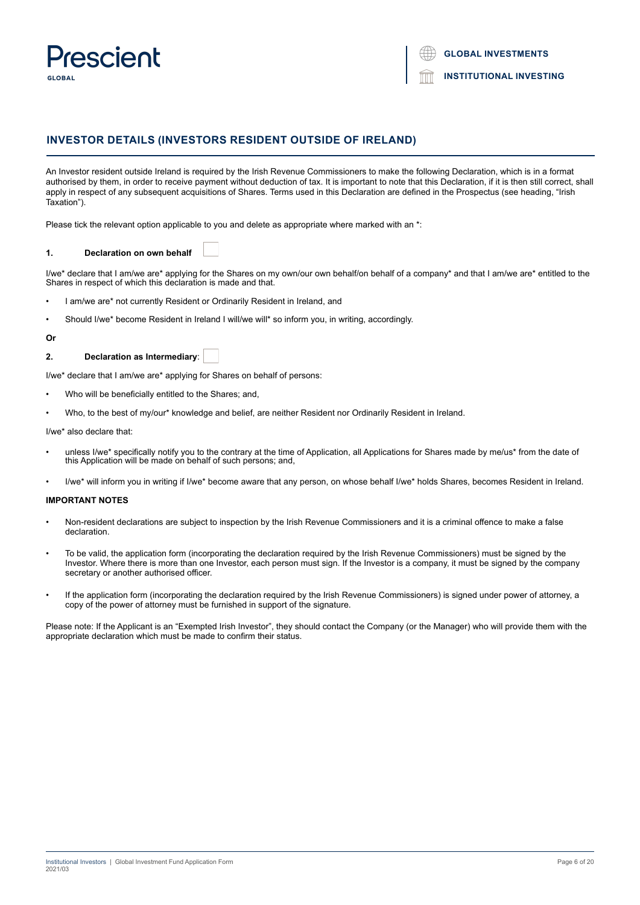

## **INVESTOR DETAILS (INVESTORS RESIDENT OUTSIDE OF IRELAND)**

An Investor resident outside Ireland is required by the Irish Revenue Commissioners to make the following Declaration, which is in a format authorised by them, in order to receive payment without deduction of tax. It is important to note that this Declaration, if it is then still correct, shall apply in respect of any subsequent acquisitions of Shares. Terms used in this Declaration are defined in the Prospectus (see heading, "Irish Taxation").

Please tick the relevant option applicable to you and delete as appropriate where marked with an \*:

#### **1. Declaration on own behalf**

I/we\* declare that I am/we are\* applying for the Shares on my own/our own behalf/on behalf of a company\* and that I am/we are\* entitled to the Shares in respect of which this declaration is made and that.

- I am/we are\* not currently Resident or Ordinarily Resident in Ireland, and
- Should I/we\* become Resident in Ireland I will/we will\* so inform you, in writing, accordingly.

#### **Or**

## **2. Declaration as Intermediary**:

I/we\* declare that I am/we are\* applying for Shares on behalf of persons:

- Who will be beneficially entitled to the Shares; and,
- Who, to the best of my/our\* knowledge and belief, are neither Resident nor Ordinarily Resident in Ireland.

I/we\* also declare that:

- unless I/we\* specifically notify you to the contrary at the time of Application, all Applications for Shares made by me/us\* from the date of this Application will be made on behalf of such persons; and,
- I/we\* will inform you in writing if I/we\* become aware that any person, on whose behalf I/we\* holds Shares, becomes Resident in Ireland.

## **IMPORTANT NOTES**

- Non-resident declarations are subject to inspection by the Irish Revenue Commissioners and it is a criminal offence to make a false declaration.
- To be valid, the application form (incorporating the declaration required by the Irish Revenue Commissioners) must be signed by the Investor. Where there is more than one Investor, each person must sign. If the Investor is a company, it must be signed by the company secretary or another authorised officer.
- If the application form (incorporating the declaration required by the Irish Revenue Commissioners) is signed under power of attorney, a copy of the power of attorney must be furnished in support of the signature.

Please note: If the Applicant is an "Exempted Irish Investor", they should contact the Company (or the Manager) who will provide them with the appropriate declaration which must be made to confirm their status.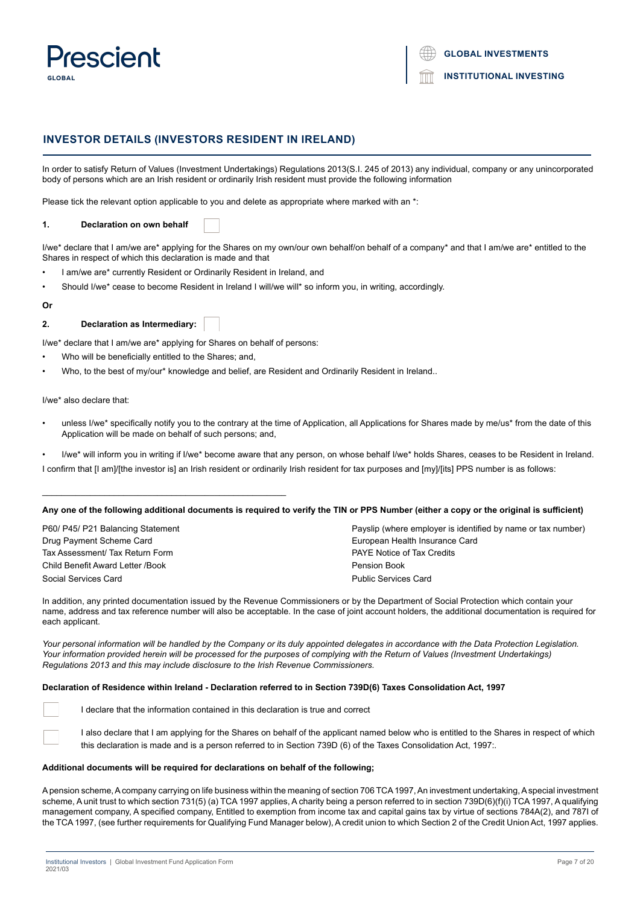

## **INVESTOR DETAILS (INVESTORS RESIDENT IN IRELAND)**

In order to satisfy Return of Values (Investment Undertakings) Regulations 2013(S.I. 245 of 2013) any individual, company or any unincorporated body of persons which are an Irish resident or ordinarily Irish resident must provide the following information

Please tick the relevant option applicable to you and delete as appropriate where marked with an \*:

#### **1. Declaration on own behalf**

I/we\* declare that I am/we are\* applying for the Shares on my own/our own behalf/on behalf of a company\* and that I am/we are\* entitled to the Shares in respect of which this declaration is made and that

- I am/we are\* currently Resident or Ordinarily Resident in Ireland, and
- Should I/we\* cease to become Resident in Ireland I will/we will\* so inform you, in writing, accordingly.

#### **Or**

## **2. Declaration as Intermediary:**

I/we\* declare that I am/we are\* applying for Shares on behalf of persons:

Who will be beneficially entitled to the Shares; and,

\_\_\_\_\_\_\_\_\_\_\_\_\_\_\_\_\_\_\_\_\_\_\_\_\_\_\_\_\_\_\_\_\_\_\_\_\_\_\_\_\_\_\_\_\_\_\_\_\_\_\_

• Who, to the best of my/our\* knowledge and belief, are Resident and Ordinarily Resident in Ireland..

I/we\* also declare that:

- unless I/we\* specifically notify you to the contrary at the time of Application, all Applications for Shares made by me/us\* from the date of this Application will be made on behalf of such persons; and,
- I/we\* will inform you in writing if I/we\* become aware that any person, on whose behalf I/we\* holds Shares, ceases to be Resident in Ireland.
- I confirm that [I am]/[the investor is] an Irish resident or ordinarily Irish resident for tax purposes and [my]/[its] PPS number is as follows:

## **Any one of the following additional documents is required to verify the TIN or PPS Number (either a copy or the original is sufficient)**

| P60/ P45/ P21 Balancing Statement | Payslip (where employer is identified by name or tax number) |
|-----------------------------------|--------------------------------------------------------------|
| Drug Payment Scheme Card          | European Health Insurance Card                               |
| Tax Assessment/ Tax Return Form   | <b>PAYE Notice of Tax Credits</b>                            |
| Child Benefit Award Letter /Book  | Pension Book                                                 |
| Social Services Card              | <b>Public Services Card</b>                                  |

In addition, any printed documentation issued by the Revenue Commissioners or by the Department of Social Protection which contain your name, address and tax reference number will also be acceptable. In the case of joint account holders, the additional documentation is required for each applicant.

Your personal information will be handled by the Company or its duly appointed delegates in accordance with the Data Protection Legislation. *Your information provided herein will be processed for the purposes of complying with the Return of Values (Investment Undertakings) Regulations 2013 and this may include disclosure to the Irish Revenue Commissioners.*

## **Declaration of Residence within Ireland - Declaration referred to in Section 739D(6) Taxes Consolidation Act, 1997**

I declare that the information contained in this declaration is true and correct

I also declare that I am applying for the Shares on behalf of the applicant named below who is entitled to the Shares in respect of which this declaration is made and is a person referred to in Section 739D (6) of the Taxes Consolidation Act, 1997:.

#### **Additional documents will be required for declarations on behalf of the following;**

A pension scheme, A company carrying on life business within the meaning of section 706 TCA 1997, An investment undertaking, A special investment scheme, A unit trust to which section 731(5) (a) TCA 1997 applies, A charity being a person referred to in section 739D(6)(f)(i) TCA 1997, A qualifying management company, A specified company, Entitled to exemption from income tax and capital gains tax by virtue of sections 784A(2), and 787I of the TCA 1997, (see further requirements for Qualifying Fund Manager below), A credit union to which Section 2 of the Credit Union Act, 1997 applies.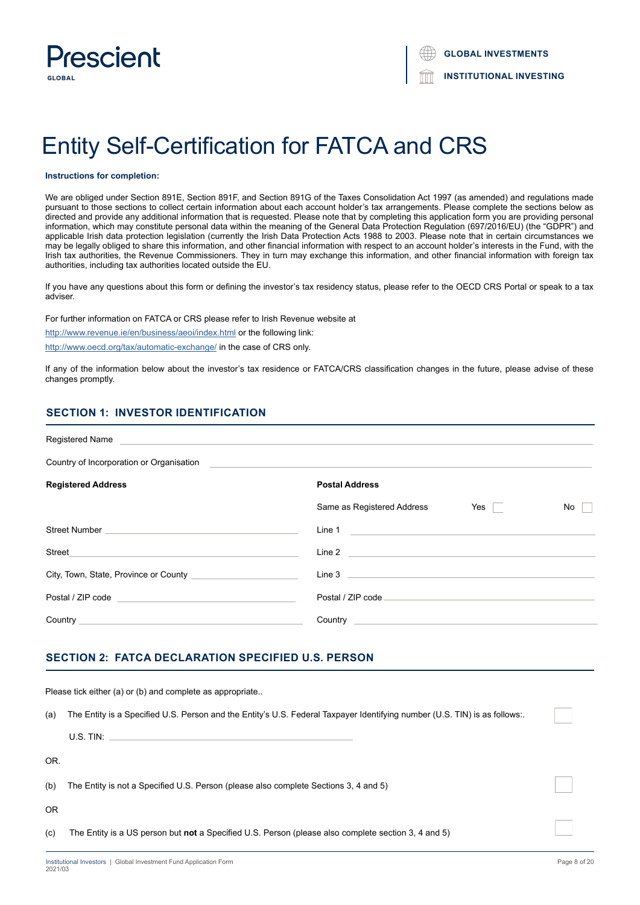

# Entity Self-Certification for FATCA and CRS

#### **Instructions for completion:**

We are obliged under Section 891E, Section 891F, and Section 891G of the Taxes Consolidation Act 1997 (as amended) and regulations made pursuant to those sections to collect certain information about each account holder's tax arrangements. Please complete the sections below as directed and provide any additional information that is requested. Please note that by completing this application form you are providing personal information, which may constitute personal data within the meaning of the General Data Protection Regulation (697/2016/EU) (the "GDPR") and applicable Irish data protection legislation (currently the Irish Data Protection Acts 1988 to 2003. Please note that in certain circumstances we may be legally obliged to share this information, and other financial information with respect to an account holder's interests in the Fund, with the Irish tax authorities, the Revenue Commissioners. They in turn may exchange this information, and other financial information with foreign tax authorities, including tax authorities located outside the EU.

If you have any questions about this form or defining the investor's tax residency status, please refer to the OECD CRS Portal or speak to a tax adviser.

For further information on FATCA or CRS please refer to Irish Revenue website at

http://www.revenue.ie/en/business/aeoi/index.html or the following link:

http://www.oecd.org/tax/automatic-exchange/ in the case of CRS only.

If any of the information below about the investor's tax residence or FATCA/CRS classification changes in the future, please advise of these changes promptly.

## **SECTION 1: INVESTOR IDENTIFICATION**

| Registered Name Name New York Contract and American Contract of the American Contract of the American Contract of                                                                                                              |                            |     |    |
|--------------------------------------------------------------------------------------------------------------------------------------------------------------------------------------------------------------------------------|----------------------------|-----|----|
| Country of Incorporation or Organisation                                                                                                                                                                                       |                            |     |    |
| <b>Registered Address</b>                                                                                                                                                                                                      | <b>Postal Address</b>      |     |    |
|                                                                                                                                                                                                                                | Same as Registered Address | Yes | No |
|                                                                                                                                                                                                                                | Line 1                     |     |    |
| Street<br>the control of the control of the control of the control of the control of the control of                                                                                                                            |                            |     |    |
| City, Town, State, Province or County                                                                                                                                                                                          |                            |     |    |
| Postal / ZIP code and a series of the series of the series of the series of the series of the series of the series of the series of the series of the series of the series of the series of the series of the series of the se | Postal / ZIP code          |     |    |
|                                                                                                                                                                                                                                |                            |     |    |

## **SECTION 2: FATCA DECLARATION SPECIFIED U.S. PERSON**

|     | Please tick either (a) or (b) and complete as appropriate                                                                  |  |
|-----|----------------------------------------------------------------------------------------------------------------------------|--|
| (a) | The Entity is a Specified U.S. Person and the Entity's U.S. Federal Taxpayer Identifying number (U.S. TIN) is as follows:. |  |
|     | U.S. TIN:                                                                                                                  |  |
| OR. |                                                                                                                            |  |
| (b) | The Entity is not a Specified U.S. Person (please also complete Sections 3, 4 and 5)                                       |  |
| OR. |                                                                                                                            |  |
| (c) | The Entity is a US person but not a Specified U.S. Person (please also complete section 3, 4 and 5)                        |  |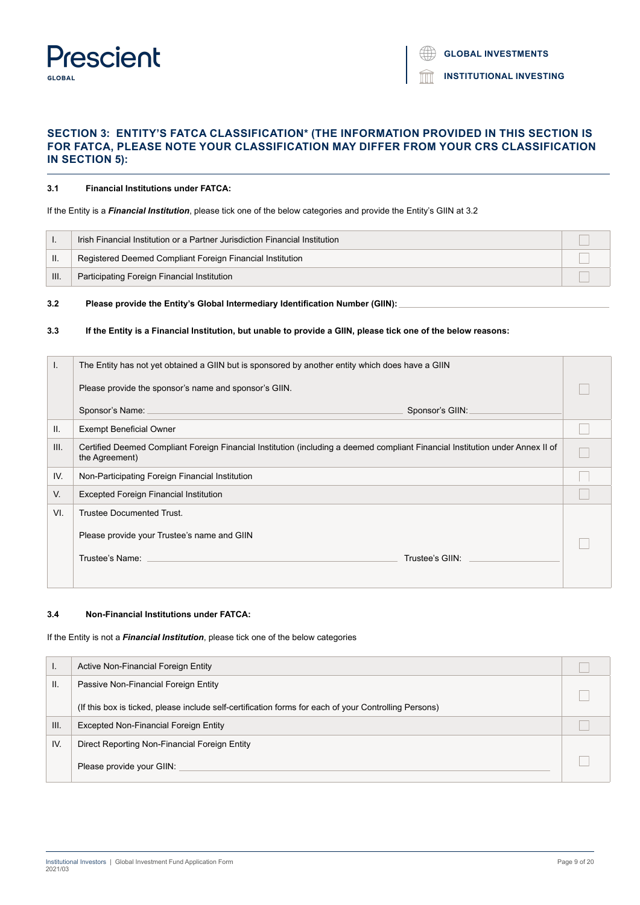## **Prescient GLOBAL**

**INSTITUTIONAL INVESTING**

## **SECTION 3: ENTITY'S FATCA CLASSIFICATION\* (THE INFORMATION PROVIDED IN THIS SECTION IS FOR FATCA, PLEASE NOTE YOUR CLASSIFICATION MAY DIFFER FROM YOUR CRS CLASSIFICATION IN SECTION 5):**

## **3.1 Financial Institutions under FATCA:**

## If the Entity is a *Financial Institution*, please tick one of the below categories and provide the Entity's GIIN at 3.2

|     | Irish Financial Institution or a Partner Jurisdiction Financial Institution |  |
|-----|-----------------------------------------------------------------------------|--|
|     | Registered Deemed Compliant Foreign Financial Institution                   |  |
| HI. | Participating Foreign Financial Institution                                 |  |

## **3.2 Please provide the Entity's Global Intermediary Identification Number (GIIN):**

## **3.3 If the Entity is a Financial Institution, but unable to provide a GIIN, please tick one of the below reasons:**

| L.   | The Entity has not yet obtained a GIIN but is sponsored by another entity which does have a GIIN                                                 |  |
|------|--------------------------------------------------------------------------------------------------------------------------------------------------|--|
|      | Please provide the sponsor's name and sponsor's GIIN.                                                                                            |  |
|      | Sponsor's Name:<br>Sponsor's GIIN:                                                                                                               |  |
| II.  | <b>Exempt Beneficial Owner</b>                                                                                                                   |  |
| III. | Certified Deemed Compliant Foreign Financial Institution (including a deemed compliant Financial Institution under Annex II of<br>the Agreement) |  |
| IV.  | Non-Participating Foreign Financial Institution                                                                                                  |  |
| V.   | <b>Excepted Foreign Financial Institution</b>                                                                                                    |  |
| VI.  | <b>Trustee Documented Trust.</b>                                                                                                                 |  |
|      | Please provide your Trustee's name and GIIN                                                                                                      |  |
|      | Trustee's Name:<br>Trustee's GIIN:                                                                                                               |  |
|      |                                                                                                                                                  |  |

## **3.4 Non-Financial Institutions under FATCA:**

If the Entity is not a *Financial Institution*, please tick one of the below categories

| . .  | Active Non-Financial Foreign Entity                                                                   |  |
|------|-------------------------------------------------------------------------------------------------------|--|
| Ш.   | Passive Non-Financial Foreign Entity                                                                  |  |
|      | (If this box is ticked, please include self-certification forms for each of your Controlling Persons) |  |
| III. | Excepted Non-Financial Foreign Entity                                                                 |  |
| IV.  | Direct Reporting Non-Financial Foreign Entity                                                         |  |
|      | Please provide your GIIN:                                                                             |  |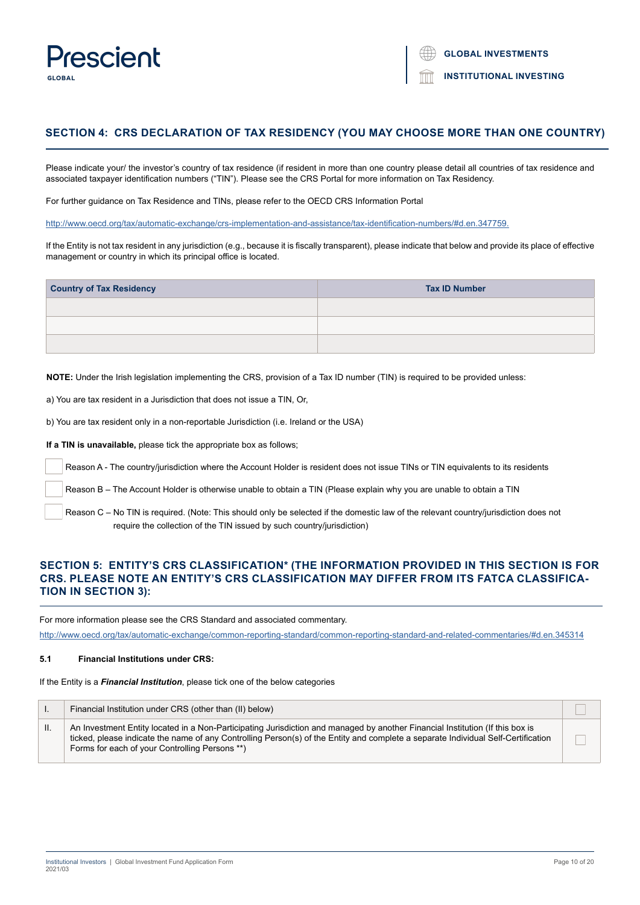

## **SECTION 4: CRS DECLARATION OF TAX RESIDENCY (YOU MAY CHOOSE MORE THAN ONE COUNTRY)**

Please indicate your/ the investor's country of tax residence (if resident in more than one country please detail all countries of tax residence and associated taxpayer identification numbers ("TIN"). Please see the CRS Portal for more information on Tax Residency.

For further guidance on Tax Residence and TINs, please refer to the OECD CRS Information Portal

http://www.oecd.org/tax/automatic-exchange/crs-implementation-and-assistance/tax-identification-numbers/#d.en.347759.

If the Entity is not tax resident in any jurisdiction (e.g., because it is fiscally transparent), please indicate that below and provide its place of effective management or country in which its principal office is located.

| <b>Country of Tax Residency</b> | <b>Tax ID Number</b> |  |  |
|---------------------------------|----------------------|--|--|
|                                 |                      |  |  |
|                                 |                      |  |  |
|                                 |                      |  |  |

**NOTE:** Under the Irish legislation implementing the CRS, provision of a Tax ID number (TIN) is required to be provided unless:

a) You are tax resident in a Jurisdiction that does not issue a TIN, Or,

b) You are tax resident only in a non-reportable Jurisdiction (i.e. Ireland or the USA)

**If a TIN is unavailable,** please tick the appropriate box as follows;

Reason A - The country/jurisdiction where the Account Holder is resident does not issue TINs or TIN equivalents to its residents

Reason B – The Account Holder is otherwise unable to obtain a TIN (Please explain why you are unable to obtain a TIN

 Reason C – No TIN is required. (Note: This should only be selected if the domestic law of the relevant country/jurisdiction does not require the collection of the TIN issued by such country/jurisdiction)

## **SECTION 5: ENTITY'S CRS CLASSIFICATION\* (THE INFORMATION PROVIDED IN THIS SECTION IS FOR CRS. PLEASE NOTE AN ENTITY'S CRS CLASSIFICATION MAY DIFFER FROM ITS FATCA CLASSIFICA-TION IN SECTION 3):**

For more information please see the CRS Standard and associated commentary.

<http://www.oecd.org/tax/automatic-exchange/common-reporting-standard/common-reporting-standard-and-related-commentaries/#d.en.345314>

## **5.1 Financial Institutions under CRS:**

If the Entity is a *Financial Institution*, please tick one of the below categories

|    | Financial Institution under CRS (other than (II) below)                                                                                                                                                                                                                                                              |  |
|----|----------------------------------------------------------------------------------------------------------------------------------------------------------------------------------------------------------------------------------------------------------------------------------------------------------------------|--|
| н. | An Investment Entity located in a Non-Participating Jurisdiction and managed by another Financial Institution (If this box is<br>ticked, please indicate the name of any Controlling Person(s) of the Entity and complete a separate Individual Self-Certification<br>Forms for each of your Controlling Persons **) |  |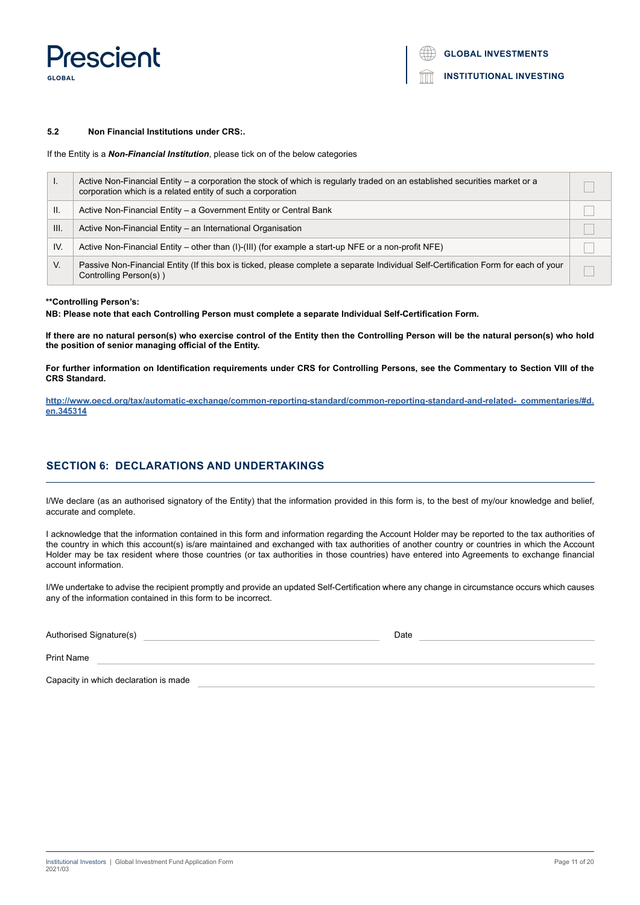Prescient **GLORAL** 

## **INSTITUTIONAL INVESTING**

#### **5.2 Non Financial Institutions under CRS:.**

If the Entity is a *Non-Financial Institution*, please tick on of the below categories

| ι.   | Active Non-Financial Entity – a corporation the stock of which is regularly traded on an established securities market or a<br>corporation which is a related entity of such a corporation |  |
|------|--------------------------------------------------------------------------------------------------------------------------------------------------------------------------------------------|--|
| Ш.   | Active Non-Financial Entity – a Government Entity or Central Bank                                                                                                                          |  |
| III. | Active Non-Financial Entity - an International Organisation                                                                                                                                |  |
| IV.  | Active Non-Financial Entity – other than (I)-(III) (for example a start-up NFE or a non-profit NFE)                                                                                        |  |
| V.   | Passive Non-Financial Entity (If this box is ticked, please complete a separate Individual Self-Certification Form for each of your<br>Controlling Person(s))                              |  |

## **\*\*Controlling Person's:**

**NB: Please note that each Controlling Person must complete a separate Individual Self-Certification Form.**

**If there are no natural person(s) who exercise control of the Entity then the Controlling Person will be the natural person(s) who hold the position of senior managing official of the Entity.**

**For further information on Identification requirements under CRS for Controlling Persons, see the Commentary to Section VIII of the CRS Standard.**

**[http://www.oecd.org/tax/automatic-exchange/common-reporting-standard/common-reporting-standard-and-related- commentaries/#d.](http://www.oecd.org/tax/automatic-exchange/common-reporting-standard/common-reporting-standard-and-related- commentaries/#d.en.345314) [en.345314](http://www.oecd.org/tax/automatic-exchange/common-reporting-standard/common-reporting-standard-and-related- commentaries/#d.en.345314)**

## **SECTION 6: DECLARATIONS AND UNDERTAKINGS**

I/We declare (as an authorised signatory of the Entity) that the information provided in this form is, to the best of my/our knowledge and belief, accurate and complete.

I acknowledge that the information contained in this form and information regarding the Account Holder may be reported to the tax authorities of the country in which this account(s) is/are maintained and exchanged with tax authorities of another country or countries in which the Account Holder may be tax resident where those countries (or tax authorities in those countries) have entered into Agreements to exchange financial account information.

I/We undertake to advise the recipient promptly and provide an updated Self-Certification where any change in circumstance occurs which causes any of the information contained in this form to be incorrect.

| Authorised Signature(s)               | Date |
|---------------------------------------|------|
| <b>Print Name</b>                     |      |
| Capacity in which declaration is made |      |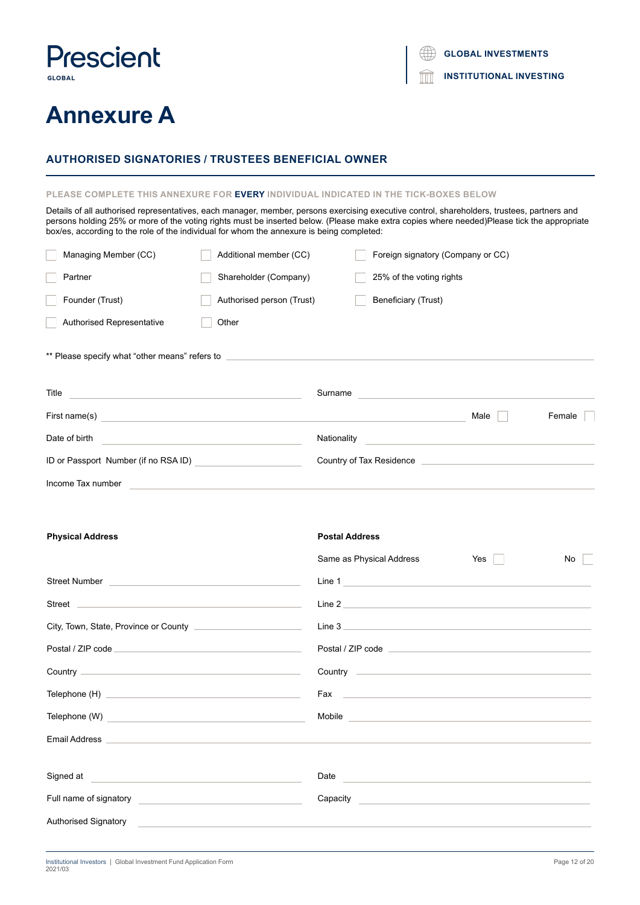## **Prescient GLOBAL**

**Annexure A**

**GLOBAL INVESTMENTS**

**INSTITUTIONAL INVESTING** fm

## **AUTHORISED SIGNATORIES / TRUSTEES BENEFICIAL OWNER**

## **PLEASE COMPLETE THIS ANNEXURE FOR EVERY INDIVIDUAL INDICATED IN THE TICK-BOXES BELOW**

Details of all authorised representatives, each manager, member, persons exercising executive control, shareholders, trustees, partners and persons holding 25% or more of the voting rights must be inserted below. (Please make extra copies where needed)Please tick the appropriate box/es, according to the role of the individual for whom the annexure is being completed:

| Managing Member (CC)                                                                                                                                              | Additional member (CC)    |             | Foreign signatory (Company or CC) |      |        |
|-------------------------------------------------------------------------------------------------------------------------------------------------------------------|---------------------------|-------------|-----------------------------------|------|--------|
| Partner                                                                                                                                                           | Shareholder (Company)     |             | 25% of the voting rights          |      |        |
| Founder (Trust)                                                                                                                                                   | Authorised person (Trust) |             | Beneficiary (Trust)               |      |        |
| Authorised Representative                                                                                                                                         | Other                     |             |                                   |      |        |
| ** Please specify what "other means" refers to __________________________________<br>Title<br><u> 1980 - Johann Stein, mars an deus Amerikaansk kommunister (</u> |                           | Surname     |                                   |      |        |
| First name(s)                                                                                                                                                     |                           |             |                                   | Male | Female |
| Date of birth                                                                                                                                                     |                           | Nationality |                                   |      |        |
| ID or Passport Number (if no RSA ID)                                                                                                                              |                           |             | Country of Tax Residence          |      |        |
| Income Tax number                                                                                                                                                 |                           |             |                                   |      |        |

| <b>Physical Address</b>                                                                                                                                                                                                              | <b>Postal Address</b>                                                 |
|--------------------------------------------------------------------------------------------------------------------------------------------------------------------------------------------------------------------------------------|-----------------------------------------------------------------------|
|                                                                                                                                                                                                                                      | Same as Physical Address<br>Yes    <br>No                             |
| Street Number <b>Number Example 20</b> Street Number                                                                                                                                                                                 | Line 1                                                                |
|                                                                                                                                                                                                                                      | Line 2                                                                |
|                                                                                                                                                                                                                                      | Line 3                                                                |
|                                                                                                                                                                                                                                      |                                                                       |
|                                                                                                                                                                                                                                      |                                                                       |
|                                                                                                                                                                                                                                      |                                                                       |
|                                                                                                                                                                                                                                      | Mobile <b>Mobile Mobile Mobile Mobile Mobile Mobile Mobile Mobile</b> |
| Email Address <b>Email Address</b>                                                                                                                                                                                                   |                                                                       |
|                                                                                                                                                                                                                                      |                                                                       |
| Signed at experience of the state of the state of the state of the state of the state of the state of the state of the state of the state of the state of the state of the state of the state of the state of the state of the       | Date                                                                  |
|                                                                                                                                                                                                                                      | Capacity Capacity                                                     |
| Authorised Signatory <b>Contract Contract Contract Contract Contract Contract Contract Contract Contract Contract Contract Contract Contract Contract Contract Contract Contract Contract Contract Contract Contract Contract Co</b> |                                                                       |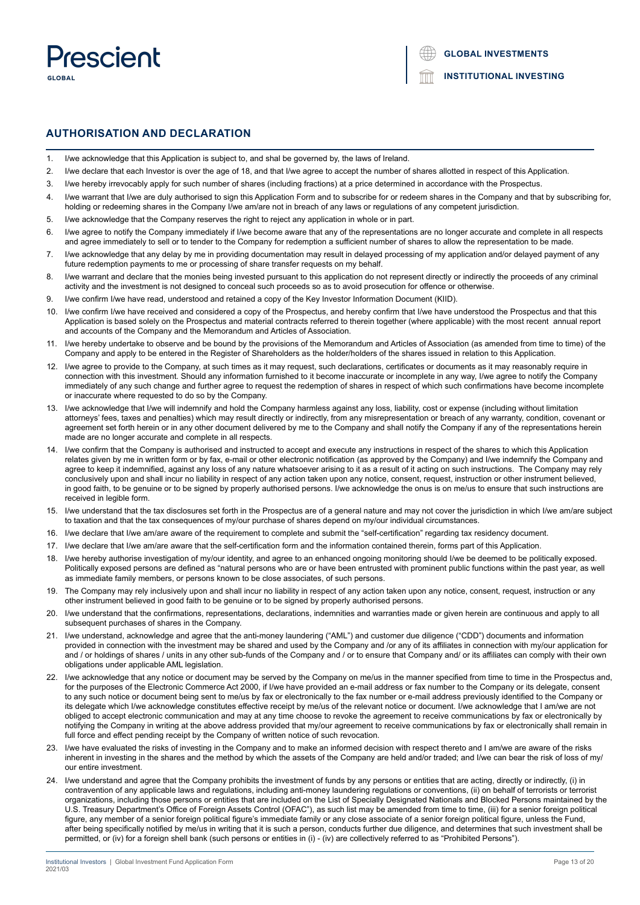

## **AUTHORISATION AND DECLARATION**

- 1. I/we acknowledge that this Application is subject to, and shal be governed by, the laws of Ireland.
- 2. I/we declare that each Investor is over the age of 18, and that I/we agree to accept the number of shares allotted in respect of this Application.
- 3. I/we hereby irrevocably apply for such number of shares (including fractions) at a price determined in accordance with the Prospectus.
- 4. I/we warrant that I/we are duly authorised to sign this Application Form and to subscribe for or redeem shares in the Company and that by subscribing for. holding or redeeming shares in the Company I/we am/are not in breach of any laws or regulations of any competent jurisdiction.
- 5. I/we acknowledge that the Company reserves the right to reject any application in whole or in part.
- 6. I/we agree to notify the Company immediately if I/we become aware that any of the representations are no longer accurate and complete in all respects and agree immediately to sell or to tender to the Company for redemption a sufficient number of shares to allow the representation to be made.
- 7. I/we acknowledge that any delay by me in providing documentation may result in delayed processing of my application and/or delayed payment of any future redemption payments to me or processing of share transfer requests on my behalf.
- 8. I/we warrant and declare that the monies being invested pursuant to this application do not represent directly or indirectly the proceeds of any criminal activity and the investment is not designed to conceal such proceeds so as to avoid prosecution for offence or otherwise.
- 9. I/we confirm I/we have read, understood and retained a copy of the Key Investor Information Document (KIID).
- 10. I/we confirm I/we have received and considered a copy of the Prospectus, and hereby confirm that I/we have understood the Prospectus and that this Application is based solely on the Prospectus and material contracts referred to therein together (where applicable) with the most recent annual report and accounts of the Company and the Memorandum and Articles of Association.
- 11. I/we hereby undertake to observe and be bound by the provisions of the Memorandum and Articles of Association (as amended from time to time) of the Company and apply to be entered in the Register of Shareholders as the holder/holders of the shares issued in relation to this Application.
- 12. I/we agree to provide to the Company, at such times as it may request, such declarations, certificates or documents as it may reasonably require in connection with this investment. Should any information furnished to it become inaccurate or incomplete in any way, I/we agree to notify the Company immediately of any such change and further agree to request the redemption of shares in respect of which such confirmations have become incomplete or inaccurate where requested to do so by the Company.
- 13. I/we acknowledge that I/we will indemnify and hold the Company harmless against any loss, liability, cost or expense (including without limitation attorneys' fees, taxes and penalties) which may result directly or indirectly, from any misrepresentation or breach of any warranty, condition, covenant or agreement set forth herein or in any other document delivered by me to the Company and shall notify the Company if any of the representations herein made are no longer accurate and complete in all respects.
- 14. I/we confirm that the Company is authorised and instructed to accept and execute any instructions in respect of the shares to which this Application relates given by me in written form or by fax, e-mail or other electronic notification (as approved by the Company) and I/we indemnify the Company and agree to keep it indemnified, against any loss of any nature whatsoever arising to it as a result of it acting on such instructions. The Company may rely conclusively upon and shall incur no liability in respect of any action taken upon any notice, consent, request, instruction or other instrument believed, in good faith, to be genuine or to be signed by properly authorised persons. I/we acknowledge the onus is on me/us to ensure that such instructions are received in legible form.
- 15. I/we understand that the tax disclosures set forth in the Prospectus are of a general nature and may not cover the jurisdiction in which I/we am/are subject to taxation and that the tax consequences of my/our purchase of shares depend on my/our individual circumstances.
- 16. I/we declare that I/we am/are aware of the requirement to complete and submit the "self-certification" regarding tax residency document.
- 17. I/we declare that I/we am/are aware that the self-certification form and the information contained therein, forms part of this Application.
- 18. I/we hereby authorise investigation of my/our identity, and agree to an enhanced ongoing monitoring should I/we be deemed to be politically exposed. Politically exposed persons are defined as "natural persons who are or have been entrusted with prominent public functions within the past year, as well as immediate family members, or persons known to be close associates, of such persons.
- 19. The Company may rely inclusively upon and shall incur no liability in respect of any action taken upon any notice, consent, request, instruction or any other instrument believed in good faith to be genuine or to be signed by properly authorised persons.
- 20. I/we understand that the confirmations, representations, declarations, indemnities and warranties made or given herein are continuous and apply to all subsequent purchases of shares in the Company.
- 21. I/we understand, acknowledge and agree that the anti-money laundering ("AML") and customer due diligence ("CDD") documents and information provided in connection with the investment may be shared and used by the Company and /or any of its affiliates in connection with my/our application for and / or holdings of shares / units in any other sub-funds of the Company and / or to ensure that Company and/ or its affiliates can comply with their own obligations under applicable AML legislation.
- 22. I/we acknowledge that any notice or document may be served by the Company on me/us in the manner specified from time to time in the Prospectus and, for the purposes of the Electronic Commerce Act 2000, if I/we have provided an e-mail address or fax number to the Company or its delegate, consent to any such notice or document being sent to me/us by fax or electronically to the fax number or e-mail address previously identified to the Company or its delegate which I/we acknowledge constitutes effective receipt by me/us of the relevant notice or document. I/we acknowledge that I am/we are not obliged to accept electronic communication and may at any time choose to revoke the agreement to receive communications by fax or electronically by notifying the Company in writing at the above address provided that my/our agreement to receive communications by fax or electronically shall remain in full force and effect pending receipt by the Company of written notice of such revocation.
- 23. I/we have evaluated the risks of investing in the Company and to make an informed decision with respect thereto and I am/we are aware of the risks inherent in investing in the shares and the method by which the assets of the Company are held and/or traded; and I/we can bear the risk of loss of my/ our entire investment.
- 24. I/we understand and agree that the Company prohibits the investment of funds by any persons or entities that are acting, directly or indirectly, (i) in contravention of any applicable laws and regulations, including anti-money laundering regulations or conventions, (ii) on behalf of terrorists or terrorist organizations, including those persons or entities that are included on the List of Specially Designated Nationals and Blocked Persons maintained by the U.S. Treasury Department's Office of Foreign Assets Control (OFAC"), as such list may be amended from time to time, (iii) for a senior foreign political figure, any member of a senior foreign political figure's immediate family or any close associate of a senior foreign political figure, unless the Fund, after being specifically notified by me/us in writing that it is such a person, conducts further due diligence, and determines that such investment shall be permitted, or (iv) for a foreign shell bank (such persons or entities in (i) - (iv) are collectively referred to as "Prohibited Persons").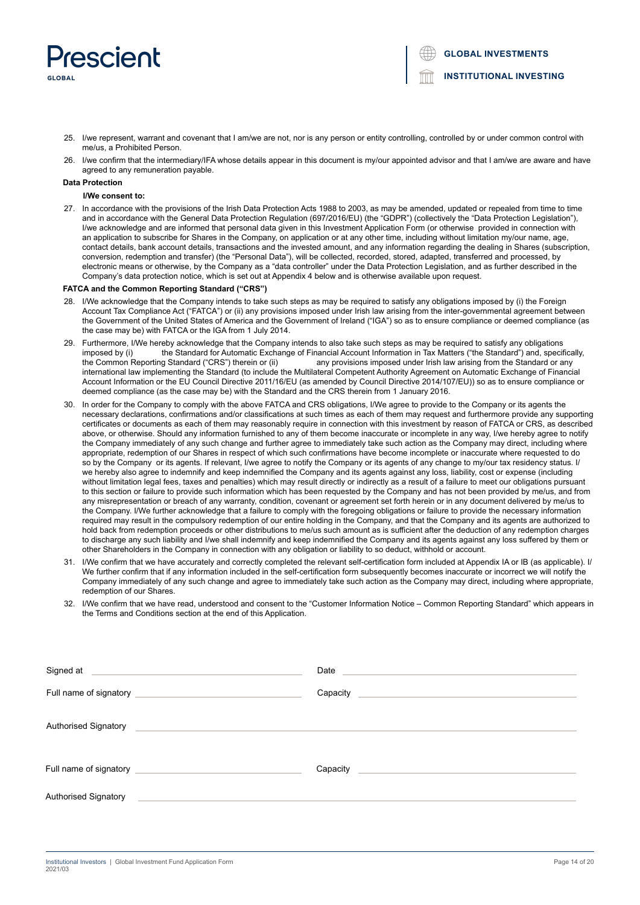

**GLOBAL INVESTMENTS**

**INSTITUTIONAL INVESTING**

- 25. I/we represent, warrant and covenant that I am/we are not, nor is any person or entity controlling, controlled by or under common control with me/us, a Prohibited Person.
- 26. I/we confirm that the intermediary/IFA whose details appear in this document is my/our appointed advisor and that I am/we are aware and have agreed to any remuneration payable.

#### **Data Protection**

#### **I/We consent to:**

27. In accordance with the provisions of the Irish Data Protection Acts 1988 to 2003, as may be amended, updated or repealed from time to time and in accordance with the General Data Protection Regulation (697/2016/EU) (the "GDPR") (collectively the "Data Protection Legislation"), I/we acknowledge and are informed that personal data given in this Investment Application Form (or otherwise provided in connection with an application to subscribe for Shares in the Company, on application or at any other time, including without limitation my/our name, age contact details, bank account details, transactions and the invested amount, and any information regarding the dealing in Shares (subscription, conversion, redemption and transfer) (the "Personal Data"), will be collected, recorded, stored, adapted, transferred and processed, by electronic means or otherwise, by the Company as a "data controller" under the Data Protection Legislation, and as further described in the Company's data protection notice, which is set out at Appendix 4 below and is otherwise available upon request.

#### **FATCA and the Common Reporting Standard ("CRS")**

- 28. I/We acknowledge that the Company intends to take such steps as may be required to satisfy any obligations imposed by (i) the Foreign Account Tax Compliance Act ("FATCA") or (ii) any provisions imposed under Irish law arising from the inter-governmental agreement between the Government of the United States of America and the Government of Ireland ("IGA") so as to ensure compliance or deemed compliance (as the case may be) with FATCA or the IGA from 1 July 2014.
- 29. Furthermore, I/We hereby acknowledge that the Company intends to also take such steps as may be required to satisfy any obligations imposed by (i) the Standard for Automatic Exchange of Financial Account Information in Tax Matters ("the Standard") and, specifically, the Common Reporting Standard ("CRS") therein or (ii) any provisions imposed under Iris any provisions imposed under Irish law arising from the Standard or any international law implementing the Standard (to include the Multilateral Competent Authority Agreement on Automatic Exchange of Financial Account Information or the EU Council Directive 2011/16/EU (as amended by Council Directive 2014/107/EU)) so as to ensure compliance or deemed compliance (as the case may be) with the Standard and the CRS therein from 1 January 2016.
- In order for the Company to comply with the above FATCA and CRS obligations, I/We agree to provide to the Company or its agents the necessary declarations, confirmations and/or classifications at such times as each of them may request and furthermore provide any supporting certificates or documents as each of them may reasonably require in connection with this investment by reason of FATCA or CRS, as described above, or otherwise. Should any information furnished to any of them become inaccurate or incomplete in any way, I/we hereby agree to notify the Company immediately of any such change and further agree to immediately take such action as the Company may direct, including where appropriate, redemption of our Shares in respect of which such confirmations have become incomplete or inaccurate where requested to do so by the Company or its agents. If relevant, I/we agree to notify the Company or its agents of any change to my/our tax residency status. I/ we hereby also agree to indemnify and keep indemnified the Company and its agents against any loss, liability, cost or expense (including without limitation legal fees, taxes and penalties) which may result directly or indirectly as a result of a failure to meet our obligations pursuant to this section or failure to provide such information which has been requested by the Company and has not been provided by me/us, and from any misrepresentation or breach of any warranty, condition, covenant or agreement set forth herein or in any document delivered by me/us to the Company. I/We further acknowledge that a failure to comply with the foregoing obligations or failure to provide the necessary information required may result in the compulsory redemption of our entire holding in the Company, and that the Company and its agents are authorized to hold back from redemption proceeds or other distributions to me/us such amount as is sufficient after the deduction of any redemption charges to discharge any such liability and I/we shall indemnify and keep indemnified the Company and its agents against any loss suffered by them or other Shareholders in the Company in connection with any obligation or liability to so deduct, withhold or account.
- 31. I/We confirm that we have accurately and correctly completed the relevant self-certification form included at Appendix IA or IB (as applicable). I/ We further confirm that if any information included in the self-certification form subsequently becomes inaccurate or incorrect we will notify the Company immediately of any such change and agree to immediately take such action as the Company may direct, including where appropriate, redemption of our Shares.
- 32. I/We confirm that we have read, understood and consent to the "Customer Information Notice Common Reporting Standard" which appears in the Terms and Conditions section at the end of this Application.

| Signed at <u>example and the set of the set of the set of the set of the set of the set of the set of the set of the set of the set of the set of the set of the set of the set of the set of the set of the set of the set of t</u>                             | Date enter the contract of the contract of the contract of the contract of the contract of the contract of the contract of the contract of the contract of the contract of the contract of the contract of the contract of the |
|------------------------------------------------------------------------------------------------------------------------------------------------------------------------------------------------------------------------------------------------------------------|--------------------------------------------------------------------------------------------------------------------------------------------------------------------------------------------------------------------------------|
|                                                                                                                                                                                                                                                                  | Capacity                                                                                                                                                                                                                       |
| <b>Authorised Signatory</b><br>$\frac{1}{2}$ . The contract of the contract of the contract of the contract of the contract of the contract of the contract of the contract of the contract of the contract of the contract of the contract of the contract of t |                                                                                                                                                                                                                                |
|                                                                                                                                                                                                                                                                  | Capacity<br><u> 1989 - John Stein, Amerikaansk politiker (* 1908)</u>                                                                                                                                                          |
| Authorised Signatory<br><u> 1989 - John Stein, mars and de Britain and de Britain and de Britain and de Britain and de Britain and de Br</u>                                                                                                                     |                                                                                                                                                                                                                                |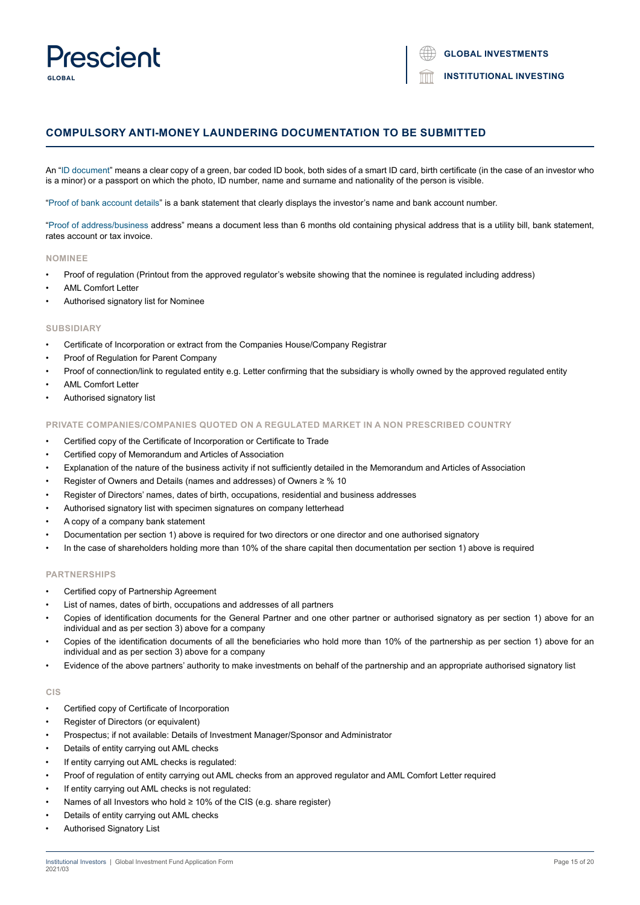## Dracciant **GLORAL**

**INSTITUTIONAL INVESTING**

## **COMPULSORY ANTI-MONEY LAUNDERING DOCUMENTATION TO BE SUBMITTED**

An "ID document" means a clear copy of a green, bar coded ID book, both sides of a smart ID card, birth certificate (in the case of an investor who is a minor) or a passport on which the photo, ID number, name and surname and nationality of the person is visible.

"Proof of bank account details" is a bank statement that clearly displays the investor's name and bank account number.

"Proof of address/business address" means a document less than 6 months old containing physical address that is a utility bill, bank statement, rates account or tax invoice.

## **NOMINEE**

- Proof of regulation (Printout from the approved regulator's website showing that the nominee is regulated including address)
- AML Comfort Letter
- Authorised signatory list for Nominee

#### **SUBSIDIARY**

- Certificate of Incorporation or extract from the Companies House/Company Registrar
- Proof of Regulation for Parent Company
- Proof of connection/link to regulated entity e.g. Letter confirming that the subsidiary is wholly owned by the approved regulated entity
- AML Comfort Letter
- Authorised signatory list

## **PRIVATE COMPANIES/COMPANIES QUOTED ON A REGULATED MARKET IN A NON PRESCRIBED COUNTRY**

- Certified copy of the Certificate of Incorporation or Certificate to Trade
- Certified copy of Memorandum and Articles of Association
- Explanation of the nature of the business activity if not sufficiently detailed in the Memorandum and Articles of Association
- Register of Owners and Details (names and addresses) of Owners ≥ % 10
- Register of Directors' names, dates of birth, occupations, residential and business addresses
- Authorised signatory list with specimen signatures on company letterhead
- A copy of a company bank statement
- Documentation per section 1) above is required for two directors or one director and one authorised signatory
- In the case of shareholders holding more than 10% of the share capital then documentation per section 1) above is required

## **PARTNERSHIPS**

- Certified copy of Partnership Agreement
- List of names, dates of birth, occupations and addresses of all partners
- Copies of identification documents for the General Partner and one other partner or authorised signatory as per section 1) above for an individual and as per section 3) above for a company
- Copies of the identification documents of all the beneficiaries who hold more than 10% of the partnership as per section 1) above for an individual and as per section 3) above for a company
- Evidence of the above partners' authority to make investments on behalf of the partnership and an appropriate authorised signatory list

## **CIS**

- Certified copy of Certificate of Incorporation
- Register of Directors (or equivalent)
- Prospectus; if not available: Details of Investment Manager/Sponsor and Administrator
- Details of entity carrying out AML checks
- If entity carrying out AML checks is regulated:
- Proof of regulation of entity carrying out AML checks from an approved regulator and AML Comfort Letter required
- If entity carrying out AML checks is not regulated:
- Names of all Investors who hold ≥ 10% of the CIS (e.g. share register)
- Details of entity carrying out AML checks
- Authorised Signatory List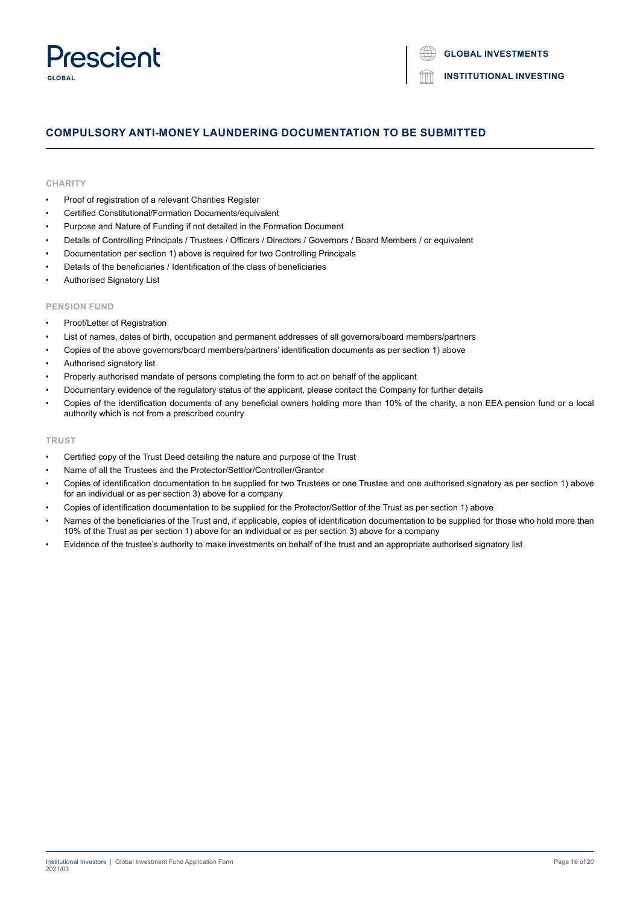## Prescient **GLORAL**

**INSTITUTIONAL INVESTING**

## **COMPULSORY ANTI-MONEY LAUNDERING DOCUMENTATION TO BE SUBMITTED**

## **CHARITY**

- Proof of registration of a relevant Charities Register
- Certified Constitutional/Formation Documents/equivalent
- Purpose and Nature of Funding if not detailed in the Formation Document
- Details of Controlling Principals / Trustees / Officers / Directors / Governors / Board Members / or equivalent
- Documentation per section 1) above is required for two Controlling Principals
- Details of the beneficiaries / Identification of the class of beneficiaries
- Authorised Signatory List

## **PENSION FUND**

- Proof/Letter of Registration
- List of names, dates of birth, occupation and permanent addresses of all governors/board members/partners
- Copies of the above governors/board members/partners' identification documents as per section 1) above
- Authorised signatory list
- Properly authorised mandate of persons completing the form to act on behalf of the applicant
- Documentary evidence of the regulatory status of the applicant, please contact the Company for further details
- Copies of the identification documents of any beneficial owners holding more than 10% of the charity, a non EEA pension fund or a local authority which is not from a prescribed country

## **TRUST**

- Certified copy of the Trust Deed detailing the nature and purpose of the Trust
- Name of all the Trustees and the Protector/Settlor/Controller/Grantor
- Copies of identification documentation to be supplied for two Trustees or one Trustee and one authorised signatory as per section 1) above for an individual or as per section 3) above for a company
- Copies of identification documentation to be supplied for the Protector/Settlor of the Trust as per section 1) above
- Names of the beneficiaries of the Trust and, if applicable, copies of identification documentation to be supplied for those who hold more than 10% of the Trust as per section 1) above for an individual or as per section 3) above for a company
- Evidence of the trustee's authority to make investments on behalf of the trust and an appropriate authorised signatory list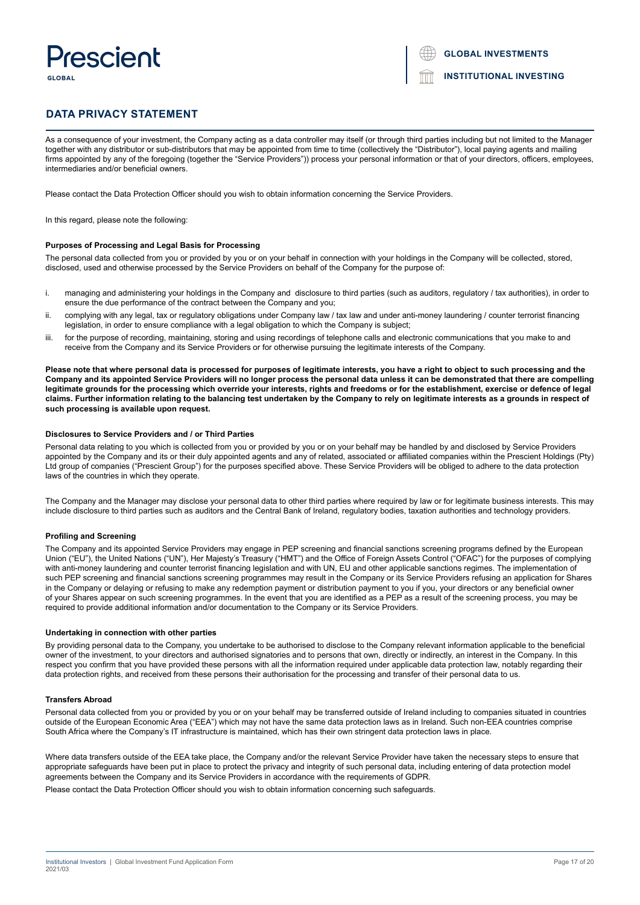## **Prescient** GLORA

|  |  |  | <b>GLOBAL INVESTMENTS</b> |
|--|--|--|---------------------------|
|--|--|--|---------------------------|

## **DATA PRIVACY STATEMENT**

As a consequence of your investment, the Company acting as a data controller may itself (or through third parties including but not limited to the Manager together with any distributor or sub-distributors that may be appointed from time to time (collectively the "Distributor"), local paying agents and mailing firms appointed by any of the foregoing (together the "Service Providers")) process your personal information or that of your directors, officers, employees, intermediaries and/or beneficial owners.

Please contact the Data Protection Officer should you wish to obtain information concerning the Service Providers.

In this regard, please note the following:

#### **Purposes of Processing and Legal Basis for Processing**

The personal data collected from you or provided by you or on your behalf in connection with your holdings in the Company will be collected, stored, disclosed, used and otherwise processed by the Service Providers on behalf of the Company for the purpose of:

- i. managing and administering your holdings in the Company and disclosure to third parties (such as auditors, regulatory / tax authorities), in order to ensure the due performance of the contract between the Company and you;
- ii. complying with any legal, tax or regulatory obligations under Company law / tax law and under anti-money laundering / counter terrorist financing legislation, in order to ensure compliance with a legal obligation to which the Company is subject;
- iii. for the purpose of recording, maintaining, storing and using recordings of telephone calls and electronic communications that you make to and receive from the Company and its Service Providers or for otherwise pursuing the legitimate interests of the Company.

**Please note that where personal data is processed for purposes of legitimate interests, you have a right to object to such processing and the Company and its appointed Service Providers will no longer process the personal data unless it can be demonstrated that there are compelling legitimate grounds for the processing which override your interests, rights and freedoms or for the establishment, exercise or defence of legal claims. Further information relating to the balancing test undertaken by the Company to rely on legitimate interests as a grounds in respect of such processing is available upon request.**

### **Disclosures to Service Providers and / or Third Parties**

Personal data relating to you which is collected from you or provided by you or on your behalf may be handled by and disclosed by Service Providers appointed by the Company and its or their duly appointed agents and any of related, associated or affiliated companies within the Prescient Holdings (Pty) Ltd group of companies ("Prescient Group") for the purposes specified above. These Service Providers will be obliged to adhere to the data protection laws of the countries in which they operate.

The Company and the Manager may disclose your personal data to other third parties where required by law or for legitimate business interests. This may include disclosure to third parties such as auditors and the Central Bank of Ireland, regulatory bodies, taxation authorities and technology providers.

#### **Profiling and Screening**

The Company and its appointed Service Providers may engage in PEP screening and financial sanctions screening programs defined by the European Union ("EU"), the United Nations ("UN"), Her Majesty's Treasury ("HMT") and the Office of Foreign Assets Control ("OFAC") for the purposes of complying with anti-money laundering and counter terrorist financing legislation and with UN, EU and other applicable sanctions regimes. The implementation of such PEP screening and financial sanctions screening programmes may result in the Company or its Service Providers refusing an application for Shares in the Company or delaying or refusing to make any redemption payment or distribution payment to you if you, your directors or any beneficial owner of your Shares appear on such screening programmes. In the event that you are identified as a PEP as a result of the screening process, you may be required to provide additional information and/or documentation to the Company or its Service Providers.

#### **Undertaking in connection with other parties**

By providing personal data to the Company, you undertake to be authorised to disclose to the Company relevant information applicable to the beneficial owner of the investment, to your directors and authorised signatories and to persons that own, directly or indirectly, an interest in the Company. In this respect you confirm that you have provided these persons with all the information required under applicable data protection law, notably regarding their data protection rights, and received from these persons their authorisation for the processing and transfer of their personal data to us.

#### **Transfers Abroad**

Personal data collected from you or provided by you or on your behalf may be transferred outside of Ireland including to companies situated in countries outside of the European Economic Area ("EEA") which may not have the same data protection laws as in Ireland. Such non-EEA countries comprise South Africa where the Company's IT infrastructure is maintained, which has their own stringent data protection laws in place.

Where data transfers outside of the EEA take place, the Company and/or the relevant Service Provider have taken the necessary steps to ensure that appropriate safeguards have been put in place to protect the privacy and integrity of such personal data, including entering of data protection model agreements between the Company and its Service Providers in accordance with the requirements of GDPR.

Please contact the Data Protection Officer should you wish to obtain information concerning such safeguards.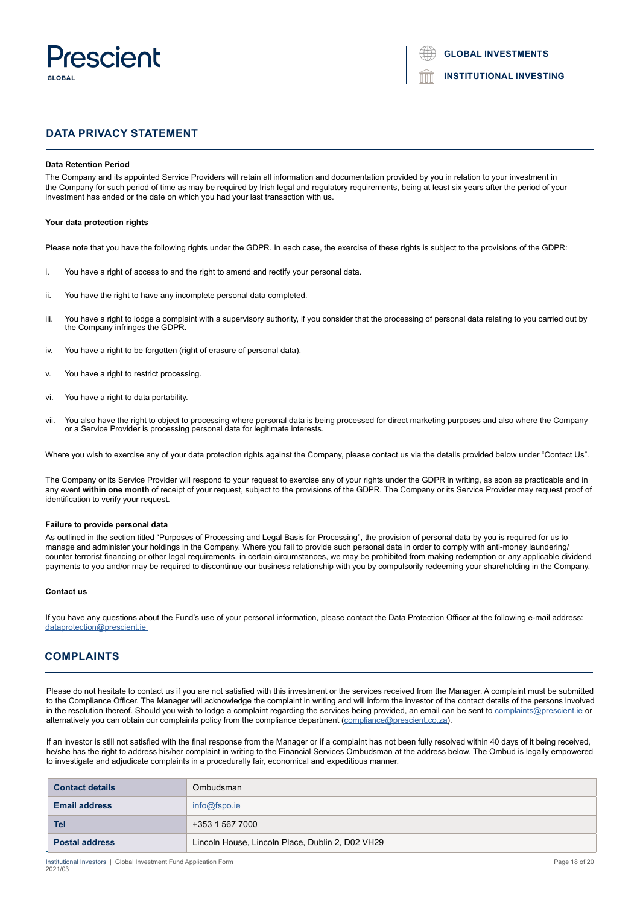

**GLOBAL INVESTMENTS**

**INSTITUTIONAL INVESTING**

## **DATA PRIVACY STATEMENT**

#### **Data Retention Period**

The Company and its appointed Service Providers will retain all information and documentation provided by you in relation to your investment in the Company for such period of time as may be required by Irish legal and regulatory requirements, being at least six years after the period of your investment has ended or the date on which you had your last transaction with us.

#### **Your data protection rights**

Please note that you have the following rights under the GDPR. In each case, the exercise of these rights is subject to the provisions of the GDPR:

- i. You have a right of access to and the right to amend and rectify your personal data.
- ii. You have the right to have any incomplete personal data completed.
- iii. You have a right to lodge a complaint with a supervisory authority, if you consider that the processing of personal data relating to you carried out by the Company infringes the GDPR.
- iv. You have a right to be forgotten (right of erasure of personal data).
- v. You have a right to restrict processing.
- vi. You have a right to data portability.
- vii. You also have the right to object to processing where personal data is being processed for direct marketing purposes and also where the Company or a Service Provider is processing personal data for legitimate interests.

Where you wish to exercise any of your data protection rights against the Company, please contact us via the details provided below under "Contact Us".

The Company or its Service Provider will respond to your request to exercise any of your rights under the GDPR in writing, as soon as practicable and in any event **within one month** of receipt of your request, subject to the provisions of the GDPR. The Company or its Service Provider may request proof of identification to verify your request.

#### **Failure to provide personal data**

As outlined in the section titled "Purposes of Processing and Legal Basis for Processing", the provision of personal data by you is required for us to manage and administer your holdings in the Company. Where you fail to provide such personal data in order to comply with anti-money laundering/ counter terrorist financing or other legal requirements, in certain circumstances, we may be prohibited from making redemption or any applicable dividend payments to you and/or may be required to discontinue our business relationship with you by compulsorily redeeming your shareholding in the Company.

#### **Contact us**

If you have any questions about the Fund's use of your personal information, please contact the Data Protection Officer at the following e-mail address: dataprotection@prescient.ie

## **COMPLAINTS**

Please do not hesitate to contact us if you are not satisfied with this investment or the services received from the Manager. A complaint must be submitted to the Compliance Officer. The Manager will acknowledge the complaint in writing and will inform the investor of the contact details of the persons involved in the resolution thereof. Should you wish to lodge a complaint regarding the services being provided, an email can be sent to [complaints@prescient.](mailto:complaints%40prescient.ie?subject=)ie or alternatively you can obtain our complaints policy from the compliance department [\(compliance@prescient.co.za](mailto:compliance%40prescient.co.za?subject=)).

If an investor is still not satisfied with the final response from the Manager or if a complaint has not been fully resolved within 40 days of it being received, he/she has the right to address his/her complaint in writing to the Financial Services Ombudsman at the address below. The Ombud is legally empowered to investigate and adjudicate complaints in a procedurally fair, economical and expeditious manner.

| <b>Contact details</b> | Ombudsman                                        |
|------------------------|--------------------------------------------------|
| <b>Email address</b>   | info@fspo.ie                                     |
| Tel                    | +353 1 567 7000                                  |
| <b>Postal address</b>  | Lincoln House, Lincoln Place, Dublin 2, D02 VH29 |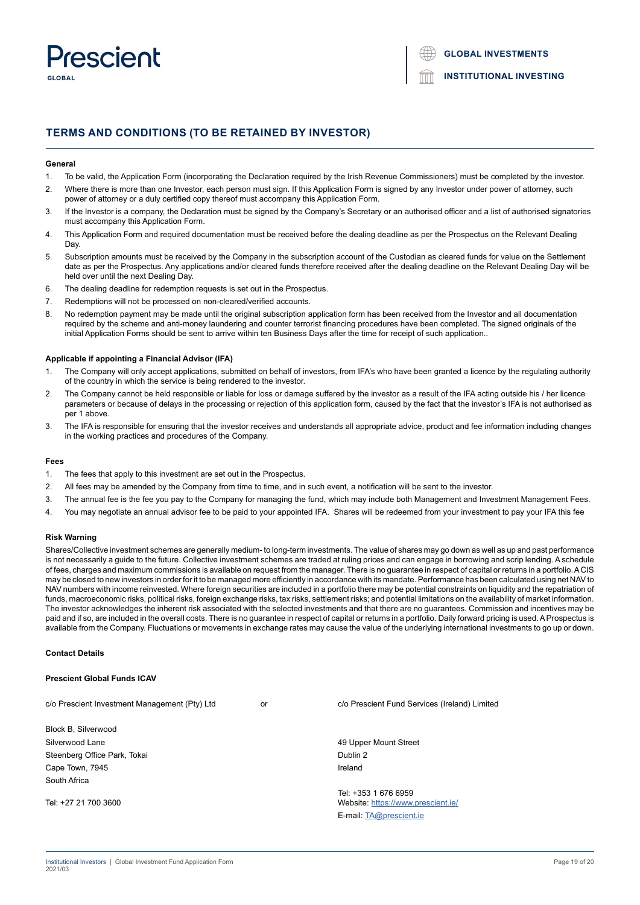

## **TERMS AND CONDITIONS (TO BE RETAINED BY INVESTOR)**

#### **General**

- 1. To be valid, the Application Form (incorporating the Declaration required by the Irish Revenue Commissioners) must be completed by the investor.
- 2. Where there is more than one Investor, each person must sign. If this Application Form is signed by any Investor under power of attorney, such power of attorney or a duly certified copy thereof must accompany this Application Form.
- 3. If the Investor is a company, the Declaration must be signed by the Company's Secretary or an authorised officer and a list of authorised signatories must accompany this Application Form.
- 4. This Application Form and required documentation must be received before the dealing deadline as per the Prospectus on the Relevant Dealing **Day**
- 5. Subscription amounts must be received by the Company in the subscription account of the Custodian as cleared funds for value on the Settlement date as per the Prospectus. Any applications and/or cleared funds therefore received after the dealing deadline on the Relevant Dealing Day will be held over until the next Dealing Day.
- 6. The dealing deadline for redemption requests is set out in the Prospectus.
- 7. Redemptions will not be processed on non-cleared/verified accounts.
- 8. No redemption payment may be made until the original subscription application form has been received from the Investor and all documentation required by the scheme and anti-money laundering and counter terrorist financing procedures have been completed. The signed originals of the initial Application Forms should be sent to arrive within ten Business Days after the time for receipt of such application..

#### **Applicable if appointing a Financial Advisor (IFA)**

- 1. The Company will only accept applications, submitted on behalf of investors, from IFA's who have been granted a licence by the regulating authority of the country in which the service is being rendered to the investor.
- 2. The Company cannot be held responsible or liable for loss or damage suffered by the investor as a result of the IFA acting outside his / her licence parameters or because of delays in the processing or rejection of this application form, caused by the fact that the investor's IFA is not authorised as per 1 above.
- 3. The IFA is responsible for ensuring that the investor receives and understands all appropriate advice, product and fee information including changes in the working practices and procedures of the Company.

#### **Fees**

- 1. The fees that apply to this investment are set out in the Prospectus.
- 2. All fees may be amended by the Company from time to time, and in such event, a notification will be sent to the investor.
- 3. The annual fee is the fee you pay to the Company for managing the fund, which may include both Management and Investment Management Fees.
- 4. You may negotiate an annual advisor fee to be paid to your appointed IFA. Shares will be redeemed from your investment to pay your IFA this fee

## **Risk Warning**

Shares/Collective investment schemes are generally medium- to long-term investments. The value of shares may go down as well as up and past performance is not necessarily a guide to the future. Collective investment schemes are traded at ruling prices and can engage in borrowing and scrip lending. A schedule of fees, charges and maximum commissions is available on request from the manager. There is no guarantee in respect of capital or returns in a portfolio. A CIS may be closed to new investors in order for it to be managed more efficiently in accordance with its mandate. Performance has been calculated using net NAV to NAV numbers with income reinvested. Where foreign securities are included in a portfolio there may be potential constraints on liquidity and the repatriation of funds, macroeconomic risks, political risks, foreign exchange risks, tax risks, settlement risks; and potential limitations on the availability of market information. The investor acknowledges the inherent risk associated with the selected investments and that there are no guarantees. Commission and incentives may be paid and if so, are included in the overall costs. There is no guarantee in respect of capital or returns in a portfolio. Daily forward pricing is used. A Prospectus is available from the Company. Fluctuations or movements in exchange rates may cause the value of the underlying international investments to go up or down.

#### **Contact Details**

## **Prescient Global Funds ICAV**

c/o Prescient Investment Management (Pty) Ltd or c/o Prescient Fund Services (Ireland) Limited Block B, Silverwood Silverwood Lane **All and Street According to the Control of the Control of According to the Control of According to the Control of According to the According of According to the According of According to the According of A** Steenberg Office Park, Tokai Dublin 2 and Dublin 2 and Dublin 2 and Dublin 2 and Dublin 2 Cape Town, 7945 **Ireland** South Africa Tel: +353 1 676 6959 Tel: +27 21 700 3600 Website: https://www.prescient.ie/ E-mail: TA@prescient.ie